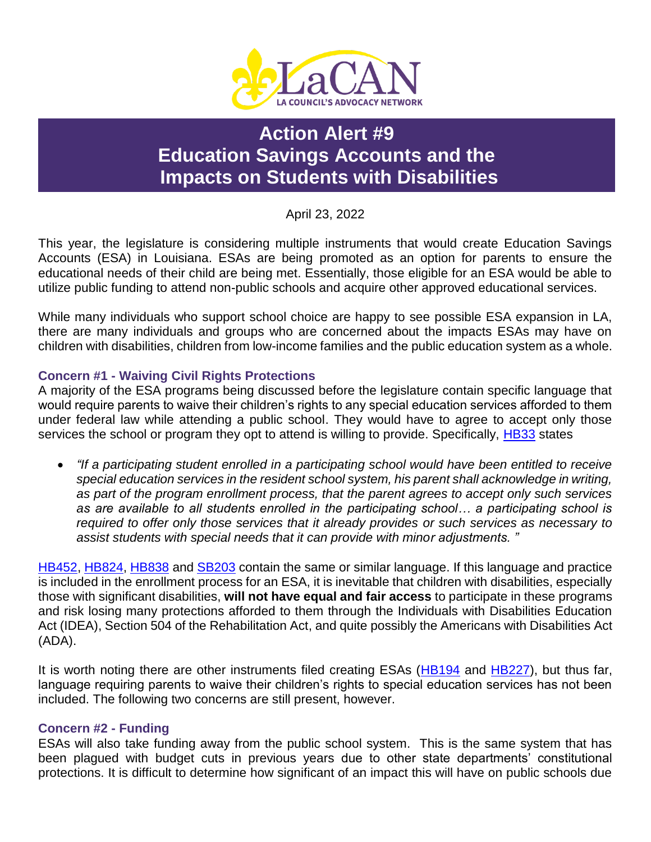

# **Action Alert #9 Education Savings Accounts and the Impacts on Students with Disabilities**

April 23, 2022

This year, the legislature is considering multiple instruments that would create Education Savings Accounts (ESA) in Louisiana. ESAs are being promoted as an option for parents to ensure the educational needs of their child are being met. Essentially, those eligible for an ESA would be able to utilize public funding to attend non-public schools and acquire other approved educational services.

While many individuals who support school choice are happy to see possible ESA expansion in LA, there are many individuals and groups who are concerned about the impacts ESAs may have on children with disabilities, children from low-income families and the public education system as a whole.

## **Concern #1 - Waiving Civil Rights Protections**

A majority of the ESA programs being discussed before the legislature contain specific language that would require parents to waive their children's rights to any special education services afforded to them under federal law while attending a public school. They would have to agree to accept only those services the school or program they opt to attend is willing to provide. Specifically, [HB33](https://www.legis.la.gov/legis/BillInfo.aspx?i=241473) states

 *"If a participating student enrolled in a participating school would have been entitled to receive special education services in the resident school system, his parent shall acknowledge in writing, as part of the program enrollment process, that the parent agrees to accept only such services as are available to all students enrolled in the participating school… a participating school is required to offer only those services that it already provides or such services as necessary to assist students with special needs that it can provide with minor adjustments. "*

[HB452,](https://www.legis.la.gov/legis/BillInfo.aspx?i=242177) [HB824,](https://www.legis.la.gov/legis/BillInfo.aspx?i=242755) [HB838](https://www.legis.la.gov/legis/BillInfo.aspx?i=242780) and [SB203](https://www.legis.la.gov/legis/BillInfo.aspx?i=242144) contain the same or similar language. If this language and practice is included in the enrollment process for an ESA, it is inevitable that children with disabilities, especially those with significant disabilities, **will not have equal and fair access** to participate in these programs and risk losing many protections afforded to them through the Individuals with Disabilities Education Act (IDEA), Section 504 of the Rehabilitation Act, and quite possibly the Americans with Disabilities Act (ADA).

It is worth noting there are other instruments filed creating ESAs [\(HB194](https://www.legis.la.gov/legis/BillInfo.aspx?i=241764) and [HB227\)](https://www.legis.la.gov/legis/BillInfo.aspx?i=241810), but thus far, language requiring parents to waive their children's rights to special education services has not been included. The following two concerns are still present, however.

#### **Concern #2 - Funding**

ESAs will also take funding away from the public school system. This is the same system that has been plagued with budget cuts in previous years due to other state departments' constitutional protections. It is difficult to determine how significant of an impact this will have on public schools due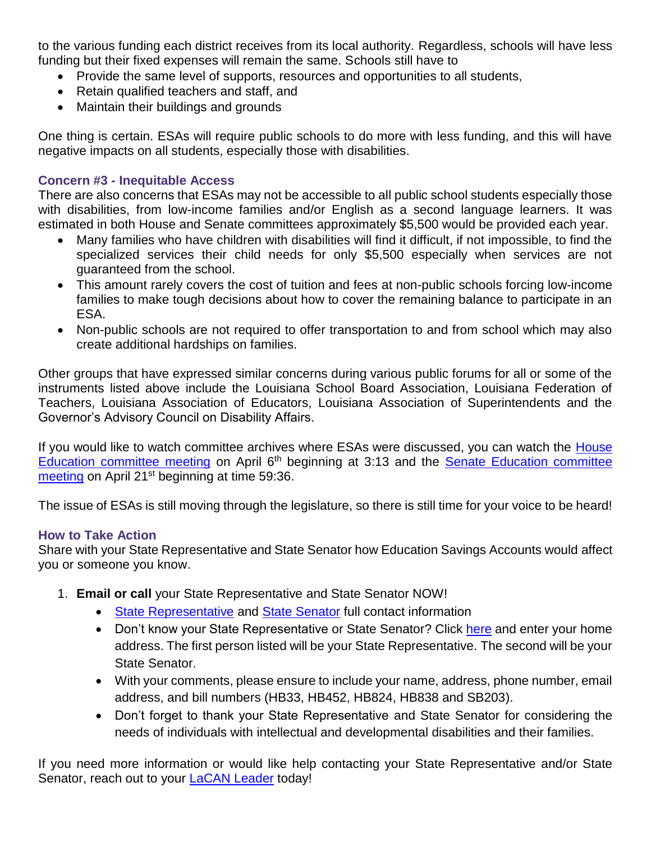to the various funding each district receives from its local authority. Regardless, schools will have less funding but their fixed expenses will remain the same. Schools still have to

- Provide the same level of supports, resources and opportunities to all students,
- Retain qualified teachers and staff, and
- Maintain their buildings and grounds

One thing is certain. ESAs will require public schools to do more with less funding, and this will have negative impacts on all students, especially those with disabilities.

#### **Concern #3 - Inequitable Access**

There are also concerns that ESAs may not be accessible to all public school students especially those with disabilities, from low-income families and/or English as a second language learners. It was estimated in both House and Senate committees approximately \$5,500 would be provided each year.

- Many families who have children with disabilities will find it difficult, if not impossible, to find the specialized services their child needs for only \$5,500 especially when services are not guaranteed from the school.
- This amount rarely covers the cost of tuition and fees at non-public schools forcing low-income families to make tough decisions about how to cover the remaining balance to participate in an ESA.
- Non-public schools are not required to offer transportation to and from school which may also create additional hardships on families.

Other groups that have expressed similar concerns during various public forums for all or some of the instruments listed above include the Louisiana School Board Association, Louisiana Federation of Teachers, Louisiana Association of Educators, Louisiana Association of Superintendents and the Governor's Advisory Council on Disability Affairs.

If you would like to watch committee archives where ESAs were discussed, you can watch the [House](https://house.louisiana.gov/H_Video/VideoArchivePlayer?v=house/2022/apr/0406_22_ED)  [Education committee meeting](https://house.louisiana.gov/H_Video/VideoArchivePlayer?v=house/2022/apr/0406_22_ED) on April 6<sup>th</sup> beginning at 3:13 and the **Senate Education committee** [meeting](https://senate.la.gov/s_video/videoarchive.asp?v=senate/2022/04/042122EDUC) on April 21<sup>st</sup> beginning at time 59:36.

The issue of ESAs is still moving through the legislature, so there is still time for your voice to be heard!

#### **How to Take Action**

Share with your State Representative and State Senator how Education Savings Accounts would affect you or someone you know.

- 1. **Email or call** your State Representative and State Senator NOW!
	- [State Representative](https://house.louisiana.gov/H_Reps/H_Reps_FullInfo) and [State Senator](https://senate.la.gov/Senators_FullInfo) full contact information
	- Don't know your State Representative or State Senator? Click [here](https://www.legis.la.gov/legis/FindMyLegislators.aspx) and enter your home address. The first person listed will be your State Representative. The second will be your State Senator.
	- With your comments, please ensure to include your name, address, phone number, email address, and bill numbers (HB33, HB452, HB824, HB838 and SB203).
	- Don't forget to thank your State Representative and State Senator for considering the needs of individuals with intellectual and developmental disabilities and their families.

If you need more information or would like help contacting your State Representative and/or State Senator, reach out to your LaCAN [Leader](https://laddc.org/initiatives/community-living-and-self-determination/community-supports/current-initiatives/lacan/lacan-leaders/) today!